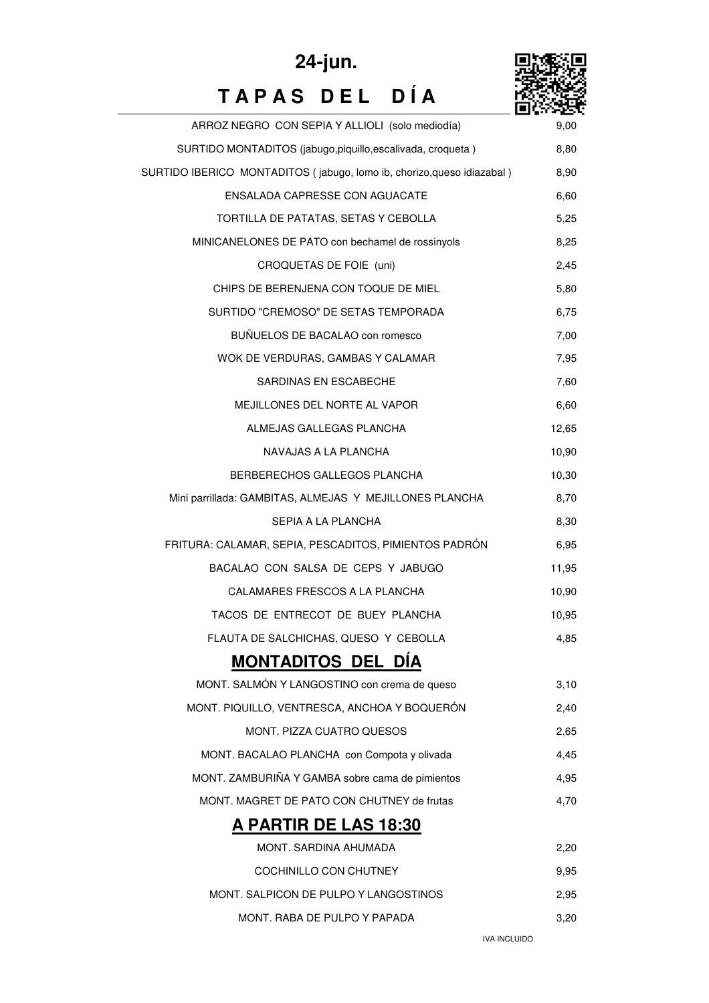

## **T A P A S D E L D Í A 24-jun.**

| ARROZ NEGRO CON SEPIA Y ALLIOLI (solo mediodía)                        | 9,00  |
|------------------------------------------------------------------------|-------|
| SURTIDO MONTADITOS (jabugo,piquillo,escalivada, croqueta)              | 8,80  |
| SURTIDO IBERICO MONTADITOS (jabugo, lomo ib, chorizo, queso idiazabal) | 8,90  |
| ENSALADA CAPRESSE CON AGUACATE                                         | 6,60  |
| TORTILLA DE PATATAS, SETAS Y CEBOLLA                                   | 5,25  |
| MINICANELONES DE PATO con bechamel de rossinyols                       | 8,25  |
| CROQUETAS DE FOIE (uni)                                                | 2,45  |
| CHIPS DE BERENJENA CON TOQUE DE MIEL                                   | 5,80  |
| SURTIDO "CREMOSO" DE SETAS TEMPORADA                                   | 6,75  |
| BUÑUELOS DE BACALAO con romesco                                        | 7,00  |
| WOK DE VERDURAS, GAMBAS Y CALAMAR                                      | 7,95  |
| SARDINAS EN ESCABECHE                                                  | 7,60  |
| MEJILLONES DEL NORTE AL VAPOR                                          | 6,60  |
| ALMEJAS GALLEGAS PLANCHA                                               | 12,65 |
| NAVAJAS A LA PLANCHA                                                   | 10,90 |
| BERBERECHOS GALLEGOS PLANCHA                                           | 10,30 |
| Mini parrillada: GAMBITAS, ALMEJAS Y MEJILLONES PLANCHA                | 8,70  |
| SEPIA A LA PLANCHA                                                     | 8,30  |
| FRITURA: CALAMAR, SEPIA, PESCADITOS, PIMIENTOS PADRÓN                  | 6,95  |
| BACALAO CON SALSA DE CEPS Y JABUGO                                     | 11,95 |
| CALAMARES FRESCOS A LA PLANCHA                                         | 10,90 |
| TACOS DE ENTRECOT DE BUEY PLANCHA                                      | 10,95 |
| FLAUTA DE SALCHICHAS, QUESO Y CEBOLLA                                  | 4,85  |
| <b>MONTADITOS DEL DIA</b>                                              |       |
| MONT. SALMÓN Y LANGOSTINO con crema de queso                           | 3,10  |
| MONT. PIQUILLO, VENTRESCA, ANCHOA Y BOQUERÓN                           | 2,40  |
| MONT. PIZZA CUATRO QUESOS                                              | 2,65  |
| MONT. BACALAO PLANCHA con Compota y olivada                            | 4,45  |
| MONT. ZAMBURIÑA Y GAMBA sobre cama de pimientos                        | 4,95  |
| MONT. MAGRET DE PATO CON CHUTNEY de frutas                             | 4,70  |
| A PARTIR DE LAS 18:30                                                  |       |
| MONT. SARDINA AHUMADA                                                  | 2,20  |
| COCHINILLO CON CHUTNEY                                                 | 9,95  |
| MONT. SALPICON DE PULPO Y LANGOSTINOS                                  | 2,95  |
| MONT. RABA DE PULPO Y PAPADA                                           | 3,20  |